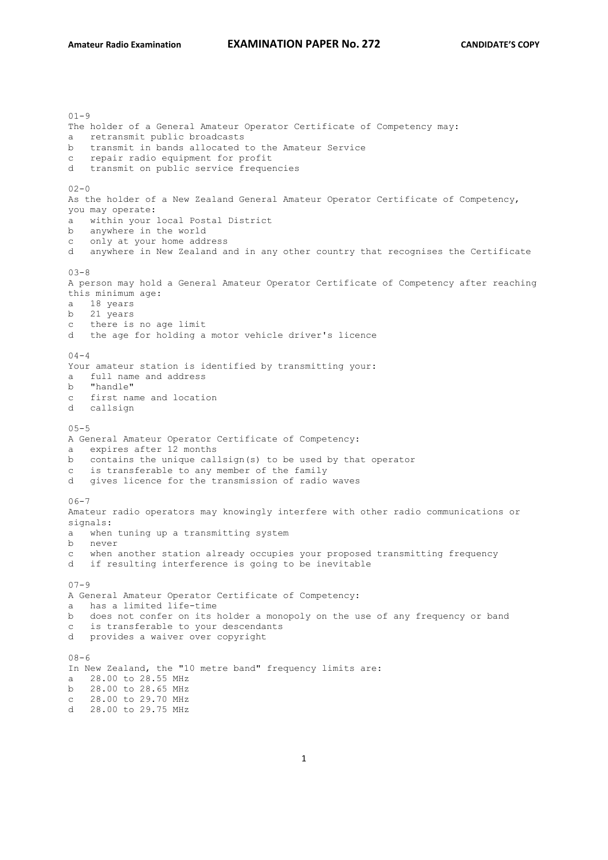$01 - 9$ The holder of a General Amateur Operator Certificate of Competency may: a retransmit public broadcasts b transmit in bands allocated to the Amateur Service c repair radio equipment for profit d transmit on public service frequencies  $02 - 0$ As the holder of a New Zealand General Amateur Operator Certificate of Competency, you may operate: a within your local Postal District b anywhere in the world c only at your home address d anywhere in New Zealand and in any other country that recognises the Certificate 03-8 A person may hold a General Amateur Operator Certificate of Competency after reaching this minimum age: a 18 years b 21 years c there is no age limit d the age for holding a motor vehicle driver's licence  $04 - 4$ Your amateur station is identified by transmitting your: a full name and address b "handle" c first name and location d callsign  $0.5 - 5$ A General Amateur Operator Certificate of Competency: a expires after 12 months b contains the unique callsign(s) to be used by that operator c is transferable to any member of the family d gives licence for the transmission of radio waves  $06 - 7$ Amateur radio operators may knowingly interfere with other radio communications or signals: a when tuning up a transmitting system b never c when another station already occupies your proposed transmitting frequency d if resulting interference is going to be inevitable  $07 - 9$ A General Amateur Operator Certificate of Competency: a has a limited life-time b does not confer on its holder a monopoly on the use of any frequency or band c is transferable to your descendants d provides a waiver over copyright  $08 - 6$ In New Zealand, the "10 metre band" frequency limits are: a 28.00 to 28.55 MHz b 28.00 to 28.65 MHz c 28.00 to 29.70 MHz d 28.00 to 29.75 MHz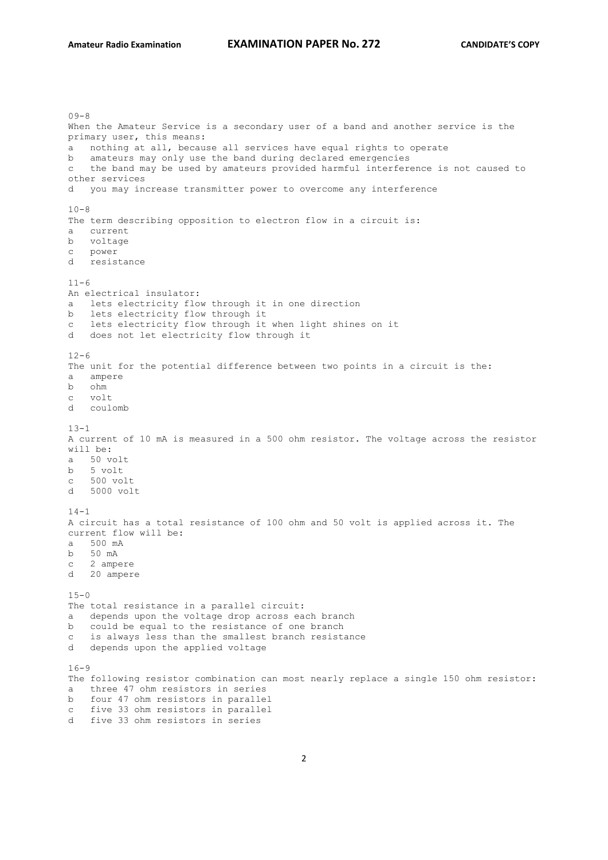$09 - 8$ When the Amateur Service is a secondary user of a band and another service is the primary user, this means: a nothing at all, because all services have equal rights to operate b amateurs may only use the band during declared emergencies c the band may be used by amateurs provided harmful interference is not caused to other services d you may increase transmitter power to overcome any interference  $10 - 8$ The term describing opposition to electron flow in a circuit is: a current b voltage c power d resistance  $11 - 6$ An electrical insulator: a lets electricity flow through it in one direction b lets electricity flow through it c lets electricity flow through it when light shines on it d does not let electricity flow through it  $12-6$ The unit for the potential difference between two points in a circuit is the: a ampere b ohm c volt d coulomb  $13 - 1$ A current of 10 mA is measured in a 500 ohm resistor. The voltage across the resistor will be: a 50 volt b 5 volt c 500 volt d 5000 volt  $14 - 1$ A circuit has a total resistance of 100 ohm and 50 volt is applied across it. The current flow will be: a 500 mA b 50 mA c 2 ampere d 20 ampere  $15 - 0$ The total resistance in a parallel circuit: a depends upon the voltage drop across each branch b could be equal to the resistance of one branch c is always less than the smallest branch resistance d depends upon the applied voltage  $16 - 9$ The following resistor combination can most nearly replace a single 150 ohm resistor: a three 47 ohm resistors in series b four 47 ohm resistors in parallel c five 33 ohm resistors in parallel d five 33 ohm resistors in series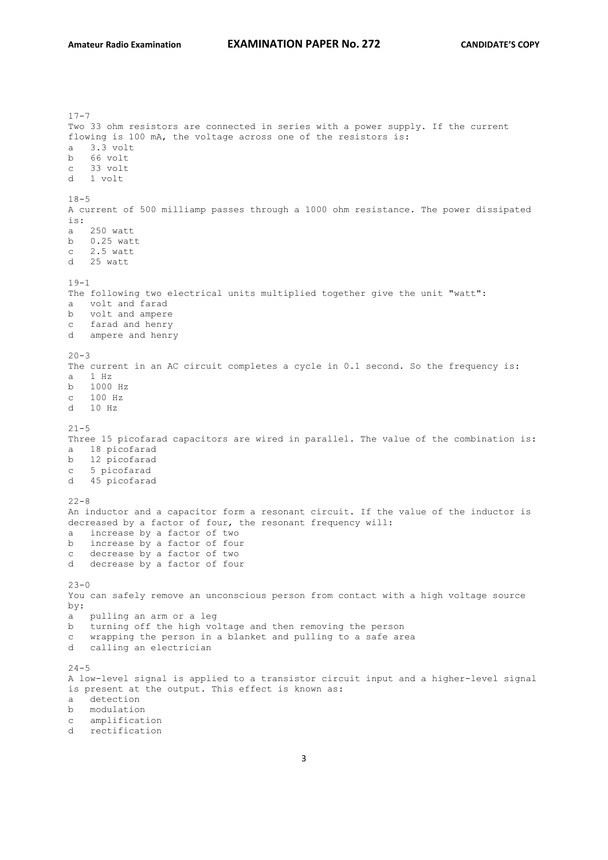$17 - 7$ Two 33 ohm resistors are connected in series with a power supply. If the current flowing is 100 mA, the voltage across one of the resistors is: a 3.3 volt b 66 volt c 33 volt d 1 volt  $18 - 5$ A current of 500 milliamp passes through a 1000 ohm resistance. The power dissipated is: a 250 watt b 0.25 watt c 2.5 watt d 25 watt  $19 - 1$ The following two electrical units multiplied together give the unit "watt": a volt and farad b volt and ampere c farad and henry d ampere and henry  $20 - 3$ The current in an AC circuit completes a cycle in 0.1 second. So the frequency is: a 1 Hz b 1000 Hz c 100 Hz d 10 Hz  $21 - 5$ Three 15 picofarad capacitors are wired in parallel. The value of the combination is: a 18 picofarad b 12 picofarad c 5 picofarad d 45 picofarad  $22 - 8$ An inductor and a capacitor form a resonant circuit. If the value of the inductor is decreased by a factor of four, the resonant frequency will: a increase by a factor of two b increase by a factor of four c decrease by a factor of two d decrease by a factor of four  $23 - 0$ You can safely remove an unconscious person from contact with a high voltage source by: a pulling an arm or a leg b turning off the high voltage and then removing the person c wrapping the person in a blanket and pulling to a safe area d calling an electrician  $24 - 5$ A low-level signal is applied to a transistor circuit input and a higher-level signal is present at the output. This effect is known as: a detection b modulation c amplification d rectification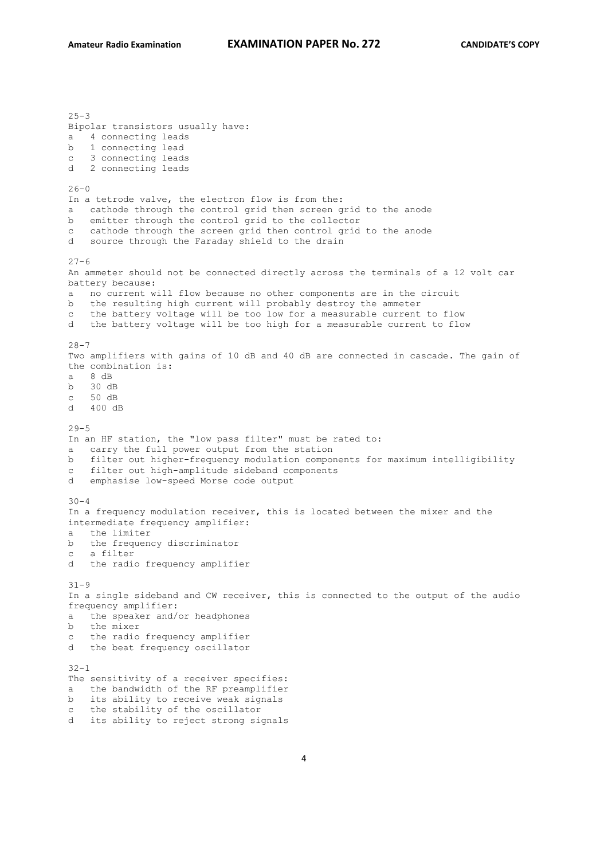$25 - 3$ Bipolar transistors usually have: a 4 connecting leads b 1 connecting lead c 3 connecting leads d 2 connecting leads  $26 - 0$ In a tetrode valve, the electron flow is from the: a cathode through the control grid then screen grid to the anode b emitter through the control grid to the collector c cathode through the screen grid then control grid to the anode d source through the Faraday shield to the drain  $27 - 6$ An ammeter should not be connected directly across the terminals of a 12 volt car battery because: a no current will flow because no other components are in the circuit b the resulting high current will probably destroy the ammeter c the battery voltage will be too low for a measurable current to flow d the battery voltage will be too high for a measurable current to flow 28-7 Two amplifiers with gains of 10 dB and 40 dB are connected in cascade. The gain of the combination is: a 8 dB b 30 dB c 50 dB d 400 dB  $29 - 5$ In an HF station, the "low pass filter" must be rated to: a carry the full power output from the station b filter out higher-frequency modulation components for maximum intelligibility c filter out high-amplitude sideband components d emphasise low-speed Morse code output  $30 - 4$ In a frequency modulation receiver, this is located between the mixer and the intermediate frequency amplifier: a the limiter b the frequency discriminator c a filter d the radio frequency amplifier 31-9 In a single sideband and CW receiver, this is connected to the output of the audio frequency amplifier: a the speaker and/or headphones b the mixer c the radio frequency amplifier d the beat frequency oscillator  $32 - 1$ The sensitivity of a receiver specifies: a the bandwidth of the RF preamplifier b its ability to receive weak signals c the stability of the oscillator d its ability to reject strong signals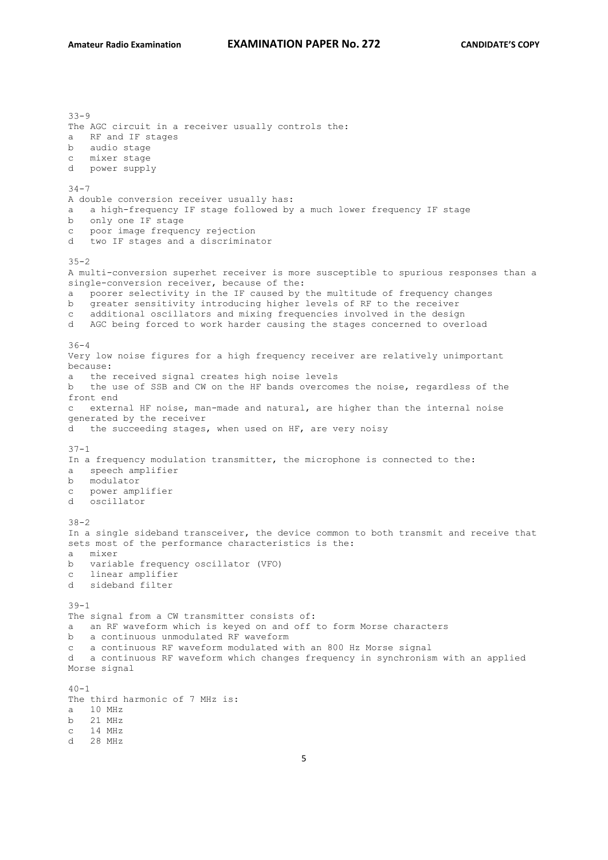$33 - 9$ The AGC circuit in a receiver usually controls the: a RF and IF stages b audio stage c mixer stage d power supply  $34 - 7$ A double conversion receiver usually has: a a high-frequency IF stage followed by a much lower frequency IF stage b only one IF stage c poor image frequency rejection d two IF stages and a discriminator  $35 - 2$ A multi-conversion superhet receiver is more susceptible to spurious responses than a single-conversion receiver, because of the: a poorer selectivity in the IF caused by the multitude of frequency changes b greater sensitivity introducing higher levels of RF to the receiver c additional oscillators and mixing frequencies involved in the design d AGC being forced to work harder causing the stages concerned to overload  $36 - 4$ Very low noise figures for a high frequency receiver are relatively unimportant because: a the received signal creates high noise levels b the use of SSB and CW on the HF bands overcomes the noise, regardless of the front end c external HF noise, man-made and natural, are higher than the internal noise generated by the receiver d the succeeding stages, when used on HF, are very noisy 37-1 In a frequency modulation transmitter, the microphone is connected to the: a speech amplifier b modulator c power amplifier d oscillator 38-2 In a single sideband transceiver, the device common to both transmit and receive that sets most of the performance characteristics is the: a mixer b variable frequency oscillator (VFO) c linear amplifier d sideband filter 39-1 The signal from a CW transmitter consists of: a an RF waveform which is keyed on and off to form Morse characters b a continuous unmodulated RF waveform c a continuous RF waveform modulated with an 800 Hz Morse signal d a continuous RF waveform which changes frequency in synchronism with an applied Morse signal  $40 - 1$ The third harmonic of 7 MHz is: a 10 MHz b 21 MHz c 14 MHz d 28 MHz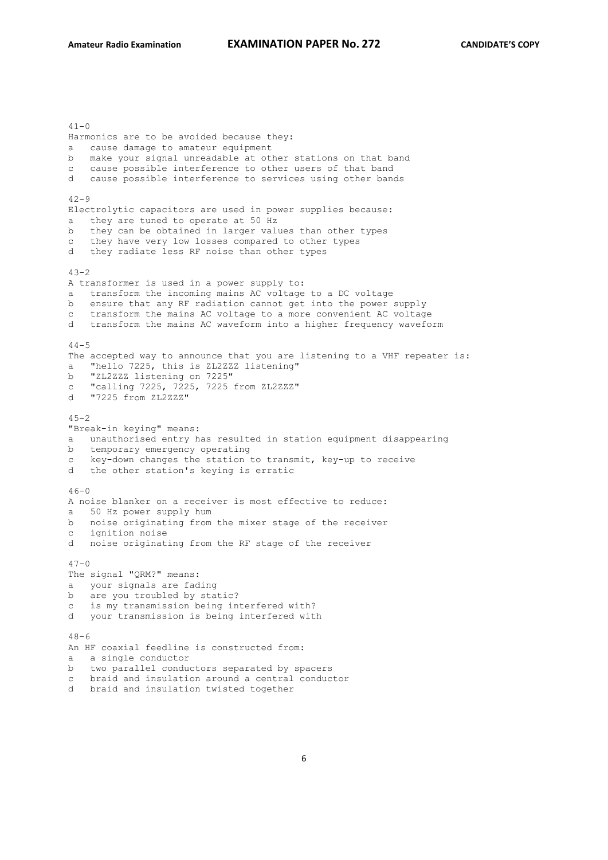$41 - 0$ Harmonics are to be avoided because they: a cause damage to amateur equipment b make your signal unreadable at other stations on that band c cause possible interference to other users of that band d cause possible interference to services using other bands  $42 - 9$ Electrolytic capacitors are used in power supplies because: they are tuned to operate at 50 Hz b they can be obtained in larger values than other types c they have very low losses compared to other types d they radiate less RF noise than other types  $43-2$ A transformer is used in a power supply to: a transform the incoming mains AC voltage to a DC voltage b ensure that any RF radiation cannot get into the power supply c transform the mains AC voltage to a more convenient AC voltage d transform the mains AC waveform into a higher frequency waveform  $44 - 5$ The accepted way to announce that you are listening to a VHF repeater is: a "hello 7225, this is ZL2ZZZ listening" b "ZL2ZZZ listening on 7225" c "calling 7225, 7225, 7225 from ZL2ZZZ" d "7225 from ZL2ZZZ"  $45 - 2$ "Break-in keying" means: a unauthorised entry has resulted in station equipment disappearing b temporary emergency operating c key-down changes the station to transmit, key-up to receive d the other station's keying is erratic  $46-0$ A noise blanker on a receiver is most effective to reduce: a 50 Hz power supply hum b noise originating from the mixer stage of the receiver c ignition noise d noise originating from the RF stage of the receiver  $47 - 0$ The signal "QRM?" means: a your signals are fading b are you troubled by static? c is my transmission being interfered with? d your transmission is being interfered with  $48 - 6$ An HF coaxial feedline is constructed from: a a single conductor b two parallel conductors separated by spacers c braid and insulation around a central conductor d braid and insulation twisted together

#### 6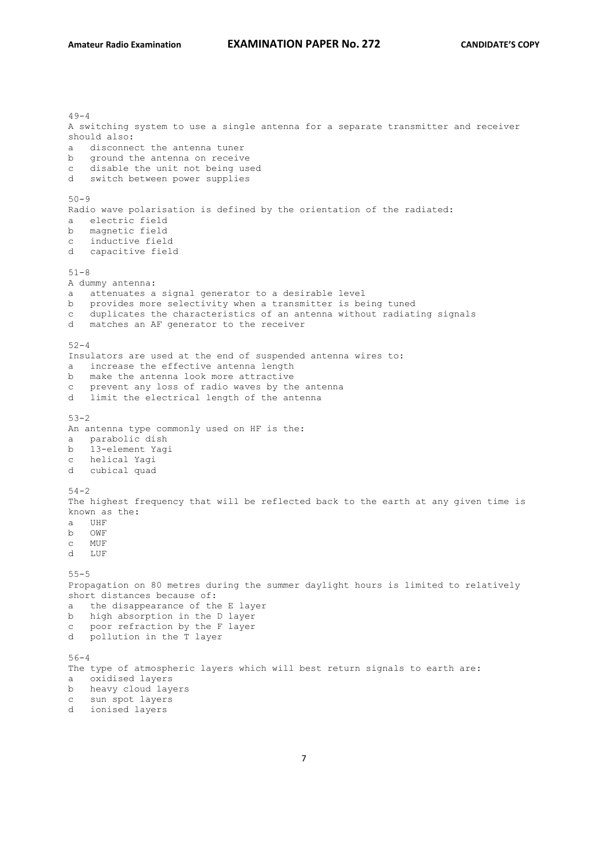```
49 - 4A switching system to use a single antenna for a separate transmitter and receiver 
should also:
a disconnect the antenna tuner
b ground the antenna on receive
c disable the unit not being used
d switch between power supplies
50 - 9Radio wave polarisation is defined by the orientation of the radiated:
a electric field
b magnetic field
c inductive field
d capacitive field
51-8
A dummy antenna:
a attenuates a signal generator to a desirable level
b provides more selectivity when a transmitter is being tuned
c duplicates the characteristics of an antenna without radiating signals
d matches an AF generator to the receiver
52 - 4Insulators are used at the end of suspended antenna wires to:
a increase the effective antenna length
b make the antenna look more attractive
c prevent any loss of radio waves by the antenna
d limit the electrical length of the antenna
53-2
An antenna type commonly used on HF is the:
a parabolic dish
b 13-element Yagi
c helical Yagi
d cubical quad
54 - 2The highest frequency that will be reflected back to the earth at any given time is 
known as the:
a UHF
b OWF
c MUF
d LUF
55-5
Propagation on 80 metres during the summer daylight hours is limited to relatively 
short distances because of:
a the disappearance of the E layer
b high absorption in the D layer
c poor refraction by the F layer
d pollution in the T layer
56-4
The type of atmospheric layers which will best return signals to earth are:
a oxidised layers
b heavy cloud layers
c sun spot layers
d ionised layers
```